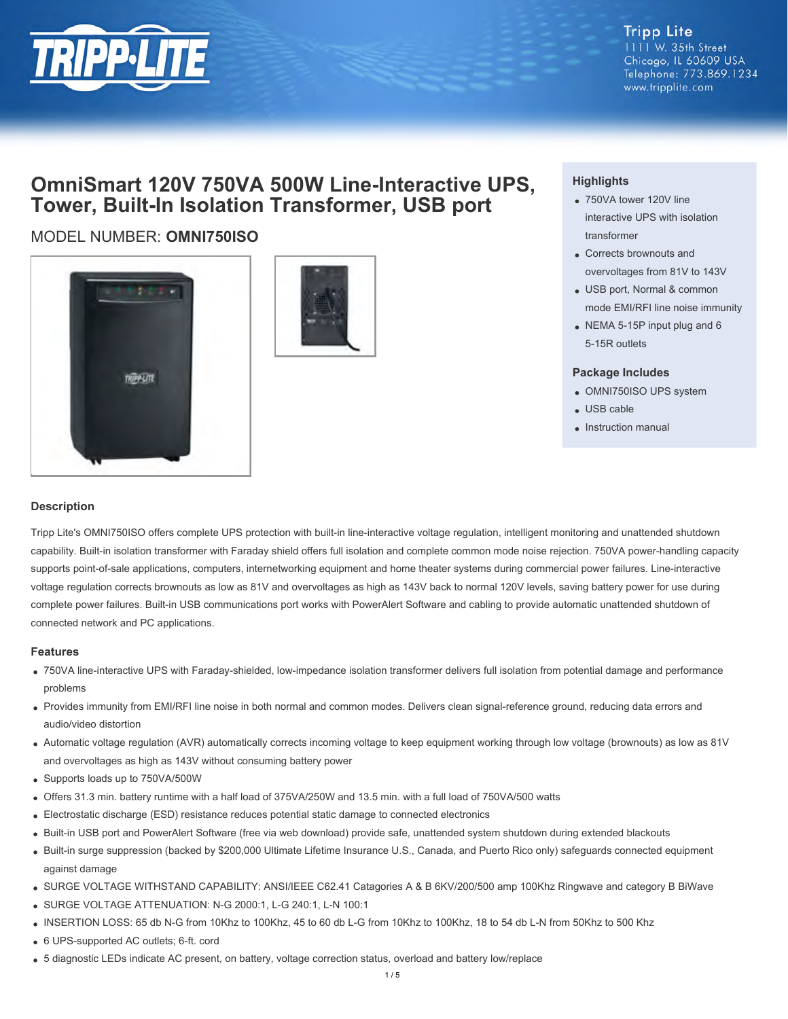

## **Tripp Lite**

1111 W. 35th Street Chicago, IL 60609 USA Telephone: 773.869.1234 www.tripplite.com

# **OmniSmart 120V 750VA 500W Line-Interactive UPS, Tower, Built-In Isolation Transformer, USB port**

## MODEL NUMBER: **OMNI750ISO**





### **Highlights**

- 750VA tower 120V line interactive UPS with isolation transformer
- Corrects brownouts and overvoltages from 81V to 143V
- USB port, Normal & common mode EMI/RFI line noise immunity
- NEMA 5-15P input plug and 6 5-15R outlets

#### **Package Includes**

- OMNI750ISO UPS system
- USB cable
- Instruction manual

#### **Description**

Tripp Lite's OMNI750ISO offers complete UPS protection with built-in line-interactive voltage regulation, intelligent monitoring and unattended shutdown capability. Built-in isolation transformer with Faraday shield offers full isolation and complete common mode noise rejection. 750VA power-handling capacity supports point-of-sale applications, computers, internetworking equipment and home theater systems during commercial power failures. Line-interactive voltage regulation corrects brownouts as low as 81V and overvoltages as high as 143V back to normal 120V levels, saving battery power for use during complete power failures. Built-in USB communications port works with PowerAlert Software and cabling to provide automatic unattended shutdown of connected network and PC applications.

#### **Features**

- 750VA line-interactive UPS with Faraday-shielded, low-impedance isolation transformer delivers full isolation from potential damage and performance problems
- Provides immunity from EMI/RFI line noise in both normal and common modes. Delivers clean signal-reference ground, reducing data errors and audio/video distortion
- Automatic voltage regulation (AVR) automatically corrects incoming voltage to keep equipment working through low voltage (brownouts) as low as 81V and overvoltages as high as 143V without consuming battery power
- Supports loads up to 750VA/500W
- Offers 31.3 min. battery runtime with a half load of 375VA/250W and 13.5 min. with a full load of 750VA/500 watts
- Electrostatic discharge (ESD) resistance reduces potential static damage to connected electronics
- Built-in USB port and PowerAlert Software (free via web download) provide safe, unattended system shutdown during extended blackouts
- Built-in surge suppression (backed by \$200,000 Ultimate Lifetime Insurance U.S., Canada, and Puerto Rico only) safeguards connected equipment against damage
- SURGE VOLTAGE WITHSTAND CAPABILITY: ANSI/IEEE C62.41 Catagories A & B 6KV/200/500 amp 100Khz Ringwave and category B BiWave
- SURGE VOLTAGE ATTENUATION: N-G 2000:1, L-G 240:1, L-N 100:1
- INSERTION LOSS: 65 db N-G from 10Khz to 100Khz, 45 to 60 db L-G from 10Khz to 100Khz, 18 to 54 db L-N from 50Khz to 500 Khz
- 6 UPS-supported AC outlets; 6-ft. cord
- 5 diagnostic LEDs indicate AC present, on battery, voltage correction status, overload and battery low/replace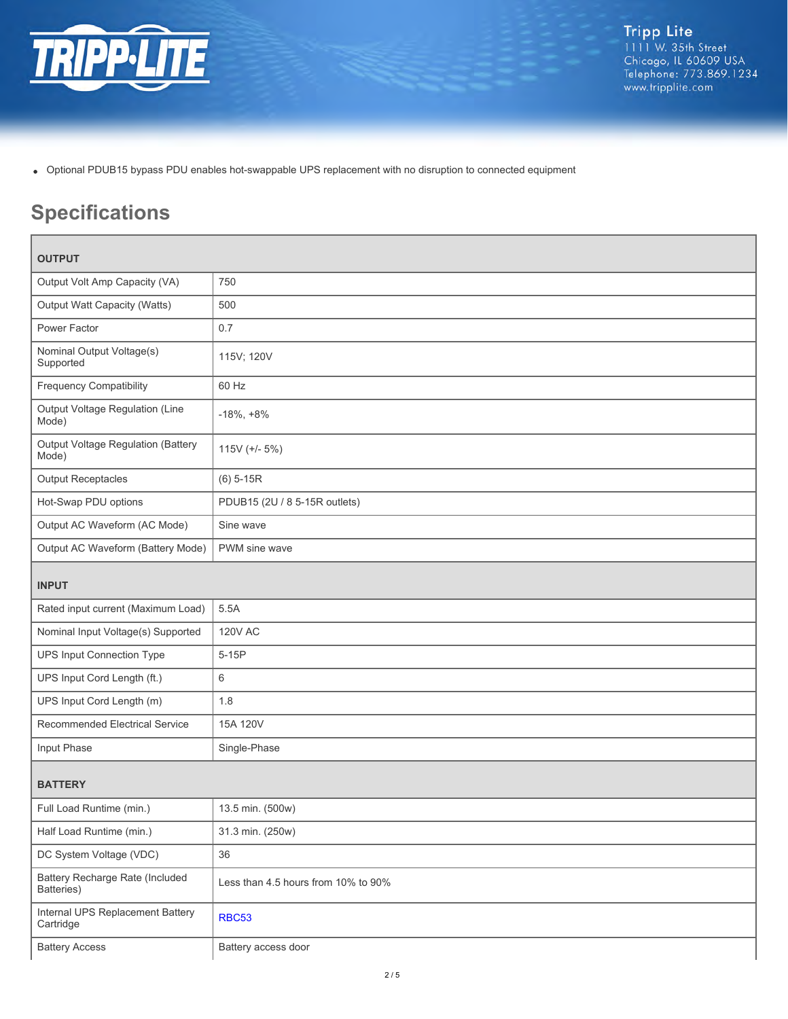

Optional PDUB15 bypass PDU enables hot-swappable UPS replacement with no disruption to connected equipment

# **Specifications**

| <b>OUTPUT</b>                                 |                                     |  |
|-----------------------------------------------|-------------------------------------|--|
| Output Volt Amp Capacity (VA)                 | 750                                 |  |
| Output Watt Capacity (Watts)                  | 500                                 |  |
| Power Factor                                  | 0.7                                 |  |
| Nominal Output Voltage(s)<br>Supported        | 115V; 120V                          |  |
| <b>Frequency Compatibility</b>                | 60 Hz                               |  |
| Output Voltage Regulation (Line<br>Mode)      | $-18\%, +8\%$                       |  |
| Output Voltage Regulation (Battery<br>Mode)   | 115V (+/- 5%)                       |  |
| <b>Output Receptacles</b>                     | $(6)$ 5-15R                         |  |
| Hot-Swap PDU options                          | PDUB15 (2U / 8 5-15R outlets)       |  |
| Output AC Waveform (AC Mode)                  | Sine wave                           |  |
| Output AC Waveform (Battery Mode)             | PWM sine wave                       |  |
| <b>INPUT</b>                                  |                                     |  |
| Rated input current (Maximum Load)            | 5.5A                                |  |
| Nominal Input Voltage(s) Supported            | <b>120V AC</b>                      |  |
| UPS Input Connection Type                     | $5-15P$                             |  |
| UPS Input Cord Length (ft.)                   | 6                                   |  |
| UPS Input Cord Length (m)                     | 1.8                                 |  |
| Recommended Electrical Service                | 15A 120V                            |  |
| Input Phase                                   | Single-Phase                        |  |
| <b>BATTERY</b>                                |                                     |  |
| Full Load Runtime (min.)                      | 13.5 min. (500w)                    |  |
| Half Load Runtime (min.)                      | 31.3 min. (250w)                    |  |
| DC System Voltage (VDC)                       | 36                                  |  |
| Battery Recharge Rate (Included<br>Batteries) | Less than 4.5 hours from 10% to 90% |  |
| Internal UPS Replacement Battery<br>Cartridge | <b>RBC53</b>                        |  |
| <b>Battery Access</b>                         | Battery access door                 |  |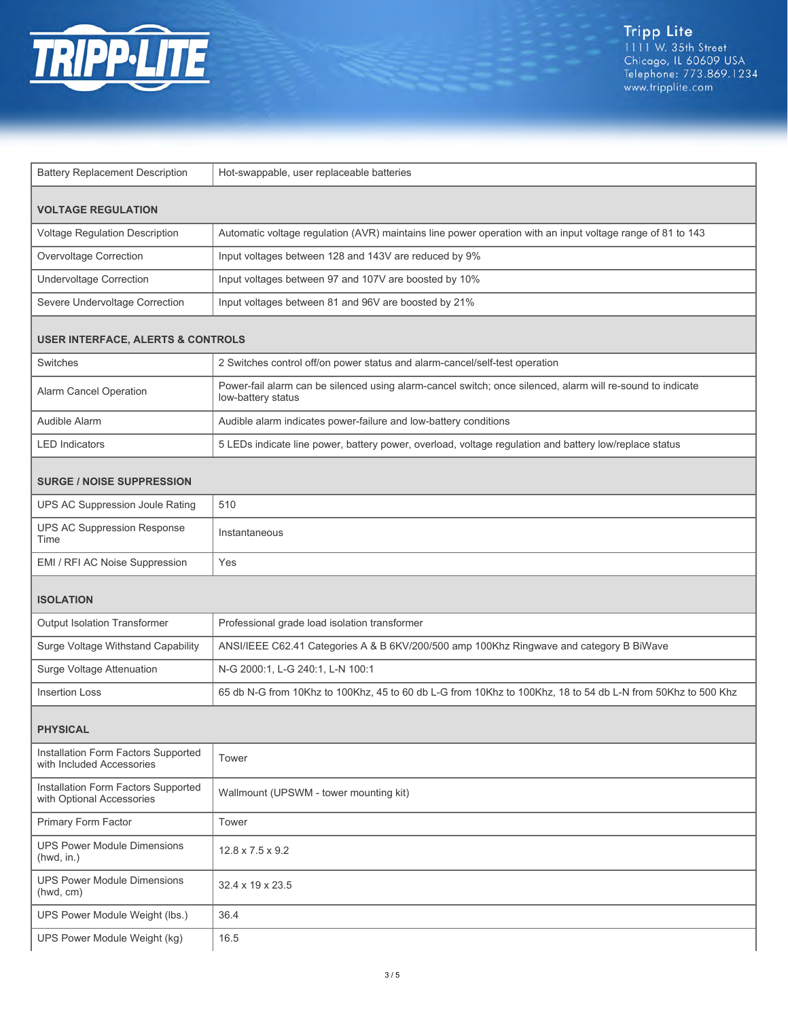

| <b>Battery Replacement Description</b>                           | Hot-swappable, user replaceable batteries                                                                                        |  |
|------------------------------------------------------------------|----------------------------------------------------------------------------------------------------------------------------------|--|
| <b>VOLTAGE REGULATION</b>                                        |                                                                                                                                  |  |
| Voltage Regulation Description                                   | Automatic voltage regulation (AVR) maintains line power operation with an input voltage range of 81 to 143                       |  |
| Overvoltage Correction                                           | Input voltages between 128 and 143V are reduced by 9%                                                                            |  |
| <b>Undervoltage Correction</b>                                   | Input voltages between 97 and 107V are boosted by 10%                                                                            |  |
| Severe Undervoltage Correction                                   | Input voltages between 81 and 96V are boosted by 21%                                                                             |  |
| <b>USER INTERFACE, ALERTS &amp; CONTROLS</b>                     |                                                                                                                                  |  |
| Switches                                                         | 2 Switches control off/on power status and alarm-cancel/self-test operation                                                      |  |
| Alarm Cancel Operation                                           | Power-fail alarm can be silenced using alarm-cancel switch; once silenced, alarm will re-sound to indicate<br>low-battery status |  |
| Audible Alarm                                                    | Audible alarm indicates power-failure and low-battery conditions                                                                 |  |
| <b>LED</b> Indicators                                            | 5 LEDs indicate line power, battery power, overload, voltage regulation and battery low/replace status                           |  |
| <b>SURGE / NOISE SUPPRESSION</b>                                 |                                                                                                                                  |  |
| UPS AC Suppression Joule Rating                                  | 510                                                                                                                              |  |
| <b>UPS AC Suppression Response</b><br>Time                       | Instantaneous                                                                                                                    |  |
| EMI / RFI AC Noise Suppression                                   | Yes                                                                                                                              |  |
| <b>ISOLATION</b>                                                 |                                                                                                                                  |  |
| Output Isolation Transformer                                     | Professional grade load isolation transformer                                                                                    |  |
| Surge Voltage Withstand Capability                               | ANSI/IEEE C62.41 Categories A & B 6KV/200/500 amp 100Khz Ringwave and category B BiWave                                          |  |
| Surge Voltage Attenuation                                        | N-G 2000:1, L-G 240:1, L-N 100:1                                                                                                 |  |
| <b>Insertion Loss</b>                                            | 65 db N-G from 10Khz to 100Khz, 45 to 60 db L-G from 10Khz to 100Khz, 18 to 54 db L-N from 50Khz to 500 Khz                      |  |
| <b>PHYSICAL</b>                                                  |                                                                                                                                  |  |
| Installation Form Factors Supported<br>with Included Accessories | Tower                                                                                                                            |  |
| Installation Form Factors Supported<br>with Optional Accessories | Wallmount (UPSWM - tower mounting kit)                                                                                           |  |
| Primary Form Factor                                              | Tower                                                                                                                            |  |
| <b>UPS Power Module Dimensions</b><br>(hwd, in.)                 | $12.8 \times 7.5 \times 9.2$                                                                                                     |  |
| <b>UPS Power Module Dimensions</b><br>(hwd, cm)                  | 32.4 x 19 x 23.5                                                                                                                 |  |
| UPS Power Module Weight (lbs.)                                   | 36.4                                                                                                                             |  |
| UPS Power Module Weight (kg)                                     | 16.5                                                                                                                             |  |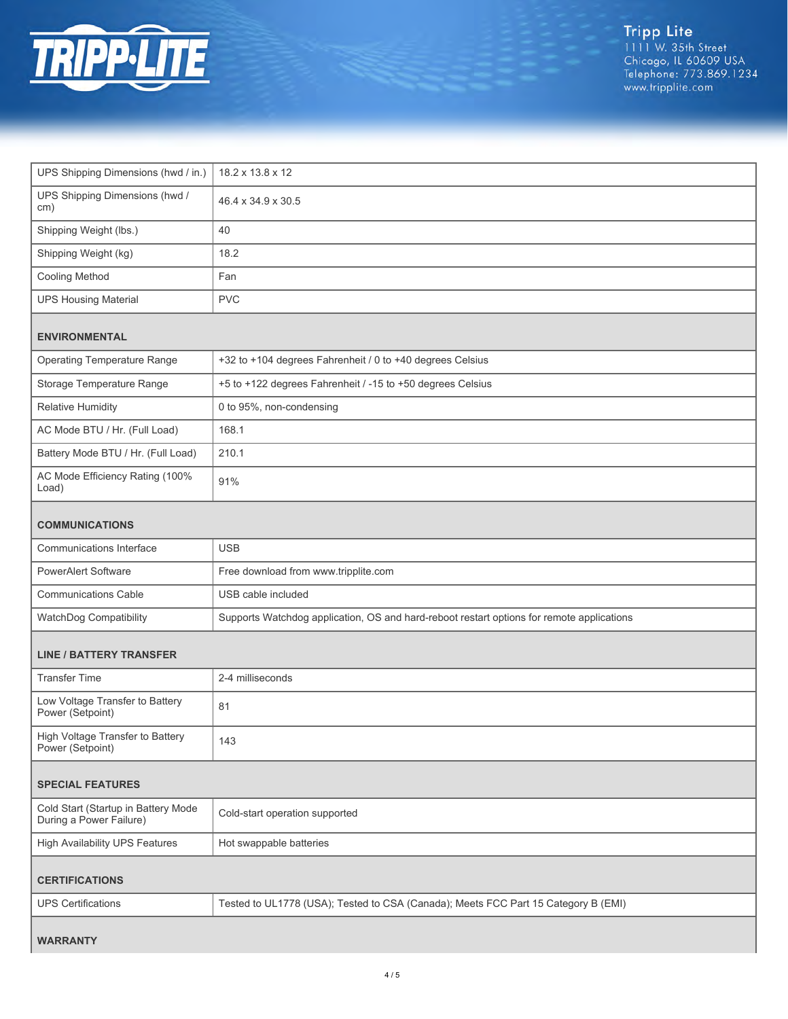

| UPS Shipping Dimensions (hwd / in.)                            | 18.2 x 13.8 x 12                                                                          |  |
|----------------------------------------------------------------|-------------------------------------------------------------------------------------------|--|
| UPS Shipping Dimensions (hwd /<br>cm)                          | 46.4 x 34.9 x 30.5                                                                        |  |
| Shipping Weight (lbs.)                                         | 40                                                                                        |  |
| Shipping Weight (kg)                                           | 18.2                                                                                      |  |
| Cooling Method                                                 | Fan                                                                                       |  |
| <b>UPS Housing Material</b>                                    | <b>PVC</b>                                                                                |  |
| <b>ENVIRONMENTAL</b>                                           |                                                                                           |  |
| <b>Operating Temperature Range</b>                             | +32 to +104 degrees Fahrenheit / 0 to +40 degrees Celsius                                 |  |
| Storage Temperature Range                                      | +5 to +122 degrees Fahrenheit / -15 to +50 degrees Celsius                                |  |
| <b>Relative Humidity</b>                                       | 0 to 95%, non-condensing                                                                  |  |
| AC Mode BTU / Hr. (Full Load)                                  | 168.1                                                                                     |  |
| Battery Mode BTU / Hr. (Full Load)                             | 210.1                                                                                     |  |
| AC Mode Efficiency Rating (100%<br>Load)                       | 91%                                                                                       |  |
| <b>COMMUNICATIONS</b>                                          |                                                                                           |  |
| Communications Interface                                       | <b>USB</b>                                                                                |  |
| <b>PowerAlert Software</b>                                     | Free download from www.tripplite.com                                                      |  |
| <b>Communications Cable</b>                                    | USB cable included                                                                        |  |
| WatchDog Compatibility                                         | Supports Watchdog application, OS and hard-reboot restart options for remote applications |  |
| <b>LINE / BATTERY TRANSFER</b>                                 |                                                                                           |  |
| <b>Transfer Time</b>                                           | 2-4 milliseconds                                                                          |  |
| Low Voltage Transfer to Battery<br>Power (Setpoint)            | 81                                                                                        |  |
| High Voltage Transfer to Battery<br>Power (Setpoint)           | 143                                                                                       |  |
| <b>SPECIAL FEATURES</b>                                        |                                                                                           |  |
| Cold Start (Startup in Battery Mode<br>During a Power Failure) | Cold-start operation supported                                                            |  |
| <b>High Availability UPS Features</b>                          | Hot swappable batteries                                                                   |  |
| <b>CERTIFICATIONS</b>                                          |                                                                                           |  |
| <b>UPS Certifications</b>                                      | Tested to UL1778 (USA); Tested to CSA (Canada); Meets FCC Part 15 Category B (EMI)        |  |
| <b>WARRANTY</b>                                                |                                                                                           |  |